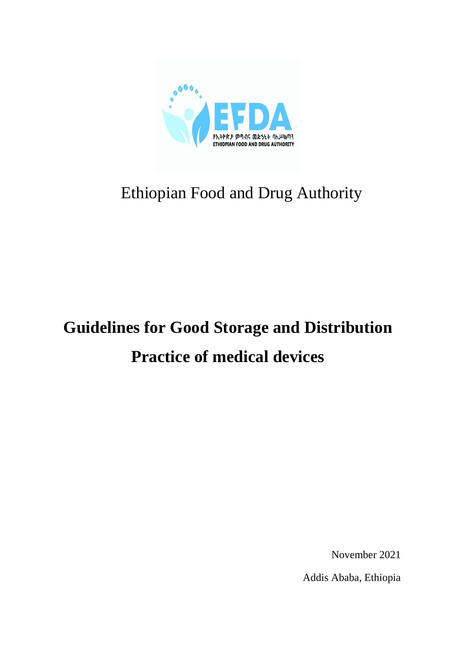

## Ethiopian Food and Drug Authority

# **Guidelines for Good Storage and Distribution Practice of medical devices**

November 2021

Addis Ababa, Ethiopia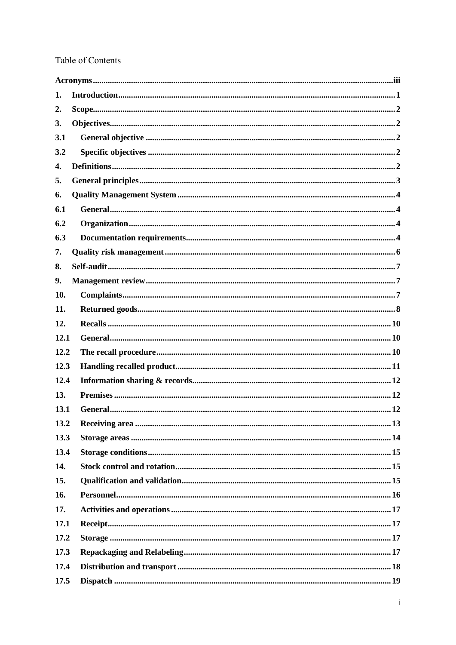## Table of Contents

| 1.   |  |
|------|--|
| 2.   |  |
| 3.   |  |
| 3.1  |  |
| 3.2  |  |
| 4.   |  |
| 5.   |  |
| 6.   |  |
| 6.1  |  |
| 6.2  |  |
| 6.3  |  |
| 7.   |  |
| 8.   |  |
| 9.   |  |
| 10.  |  |
| 11.  |  |
| 12.  |  |
| 12.1 |  |
| 12.2 |  |
| 12.3 |  |
| 12.4 |  |
| 13.  |  |
| 13.1 |  |
| 13.2 |  |
| 13.3 |  |
| 13.4 |  |
| 14.  |  |
| 15.  |  |
| 16.  |  |
| 17.  |  |
| 17.1 |  |
| 17.2 |  |
| 17.3 |  |
| 17.4 |  |
| 17.5 |  |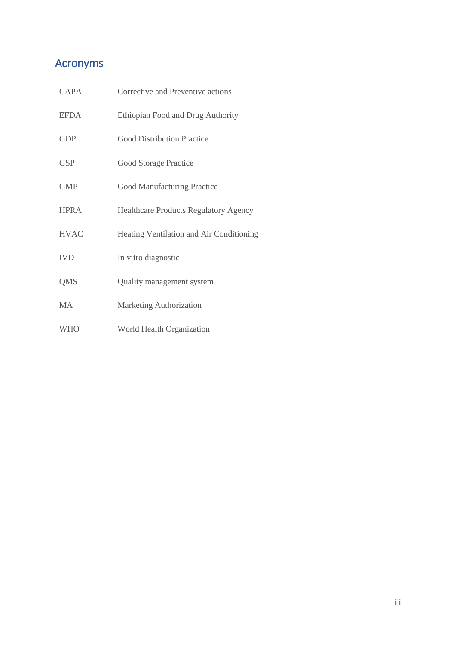## <span id="page-3-0"></span>Acronyms

| <b>CAPA</b> | Corrective and Preventive actions            |
|-------------|----------------------------------------------|
| <b>EFDA</b> | Ethiopian Food and Drug Authority            |
| <b>GDP</b>  | <b>Good Distribution Practice</b>            |
| <b>GSP</b>  | Good Storage Practice                        |
| <b>GMP</b>  | <b>Good Manufacturing Practice</b>           |
| <b>HPRA</b> | <b>Healthcare Products Regulatory Agency</b> |
| <b>HVAC</b> | Heating Ventilation and Air Conditioning     |
| <b>IVD</b>  | In vitro diagnostic                          |
| <b>QMS</b>  | Quality management system                    |
| <b>MA</b>   | Marketing Authorization                      |
| <b>WHO</b>  | World Health Organization                    |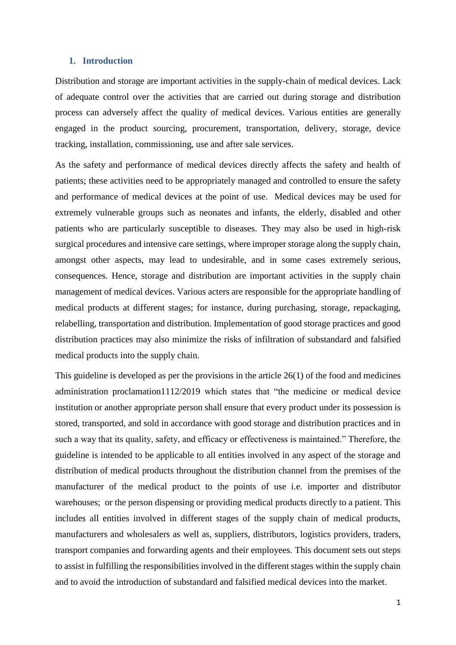#### <span id="page-4-0"></span>**1. Introduction**

Distribution and storage are important activities in the supply-chain of medical devices. Lack of adequate control over the activities that are carried out during storage and distribution process can adversely affect the quality of medical devices. Various entities are generally engaged in the product sourcing, procurement, transportation, delivery, storage, device tracking, installation, commissioning, use and after sale services.

As the safety and performance of medical devices directly affects the safety and health of patients; these activities need to be appropriately managed and controlled to ensure the safety and performance of medical devices at the point of use. Medical devices may be used for extremely vulnerable groups such as neonates and infants, the elderly, disabled and other patients who are particularly susceptible to diseases. They may also be used in high-risk surgical procedures and intensive care settings, where improper storage along the supply chain, amongst other aspects, may lead to undesirable, and in some cases extremely serious, consequences. Hence, storage and distribution are important activities in the supply chain management of medical devices. Various acters are responsible for the appropriate handling of medical products at different stages; for instance, during purchasing, storage, repackaging, relabelling, transportation and distribution. Implementation of good storage practices and good distribution practices may also minimize the risks of infiltration of substandard and falsified medical products into the supply chain.

This guideline is developed as per the provisions in the article 26(1) of the food and medicines administration proclamation1112/2019 which states that "the medicine or medical device institution or another appropriate person shall ensure that every product under its possession is stored, transported, and sold in accordance with good storage and distribution practices and in such a way that its quality, safety, and efficacy or effectiveness is maintained." Therefore, the guideline is intended to be applicable to all entities involved in any aspect of the storage and distribution of medical products throughout the distribution channel from the premises of the manufacturer of the medical product to the points of use i.e. importer and distributor warehouses; or the person dispensing or providing medical products directly to a patient. This includes all entities involved in different stages of the supply chain of medical products, manufacturers and wholesalers as well as, suppliers, distributors, logistics providers, traders, transport companies and forwarding agents and their employees. This document sets out steps to assist in fulfilling the responsibilities involved in the different stages within the supply chain and to avoid the introduction of substandard and falsified medical devices into the market.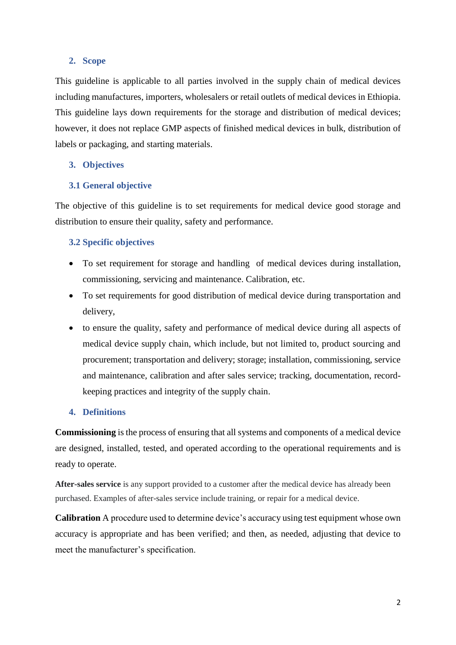## <span id="page-5-0"></span>**2. Scope**

This guideline is applicable to all parties involved in the supply chain of medical devices including manufactures, importers, wholesalers or retail outlets of medical devices in Ethiopia. This guideline lays down requirements for the storage and distribution of medical devices; however, it does not replace GMP aspects of finished medical devices in bulk, distribution of labels or packaging, and starting materials.

## <span id="page-5-1"></span>**3. Objectives**

## <span id="page-5-2"></span>**3.1 General objective**

The objective of this guideline is to set requirements for medical device good storage and distribution to ensure their quality, safety and performance.

## <span id="page-5-3"></span>**3.2 Specific objectives**

- To set requirement for storage and handling of medical devices during installation, commissioning, servicing and maintenance. Calibration, etc.
- To set requirements for good distribution of medical device during transportation and delivery,
- to ensure the quality, safety and performance of medical device during all aspects of medical device supply chain, which include, but not limited to, product sourcing and procurement; transportation and delivery; storage; installation, commissioning, service and maintenance, calibration and after sales service; tracking, documentation, recordkeeping practices and integrity of the supply chain.

### <span id="page-5-4"></span>**4. Definitions**

**Commissioning** is the process of ensuring that all systems and components of a medical device are designed, installed, tested, and operated according to the operational requirements and is ready to operate.

**After-sales service** is any support provided to a customer after the medical device has already been purchased. Examples of after-sales service include training, or repair for a medical device.

**Calibration** A procedure used to determine device's accuracy using test equipment whose own accuracy is appropriate and has been verified; and then, as needed, adjusting that device to meet the manufacturer's specification.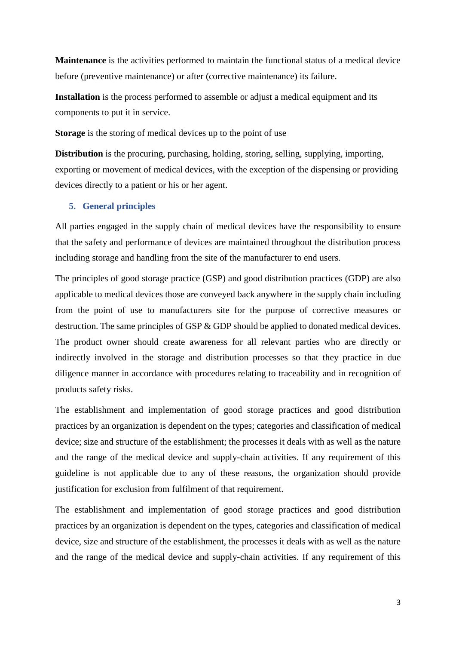**Maintenance** is the activities performed to maintain the functional status of a medical device before (preventive maintenance) or after (corrective maintenance) its failure.

**Installation** is the process performed to assemble or adjust a medical equipment and its components to put it in service.

**Storage** is the storing of medical devices up to the point of use

**Distribution** is the procuring, purchasing, holding, storing, selling, supplying, importing, exporting or movement of medical devices, with the exception of the dispensing or providing devices directly to a patient or his or her agent.

### <span id="page-6-0"></span>**5. General principles**

All parties engaged in the supply chain of medical devices have the responsibility to ensure that the safety and performance of devices are maintained throughout the distribution process including storage and handling from the site of the manufacturer to end users.

The principles of good storage practice (GSP) and good distribution practices (GDP) are also applicable to medical devices those are conveyed back anywhere in the supply chain including from the point of use to manufacturers site for the purpose of corrective measures or destruction. The same principles of GSP & GDP should be applied to donated medical devices. The product owner should create awareness for all relevant parties who are directly or indirectly involved in the storage and distribution processes so that they practice in due diligence manner in accordance with procedures relating to traceability and in recognition of products safety risks.

The establishment and implementation of good storage practices and good distribution practices by an organization is dependent on the types; categories and classification of medical device; size and structure of the establishment; the processes it deals with as well as the nature and the range of the medical device and supply-chain activities. If any requirement of this guideline is not applicable due to any of these reasons, the organization should provide justification for exclusion from fulfilment of that requirement.

The establishment and implementation of good storage practices and good distribution practices by an organization is dependent on the types, categories and classification of medical device, size and structure of the establishment, the processes it deals with as well as the nature and the range of the medical device and supply-chain activities. If any requirement of this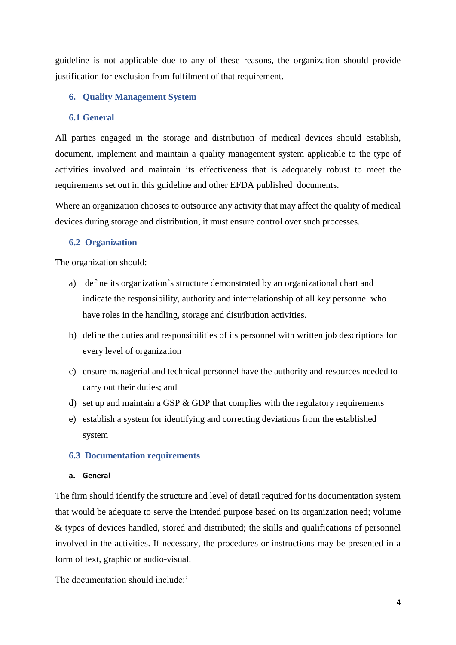guideline is not applicable due to any of these reasons, the organization should provide justification for exclusion from fulfilment of that requirement.

## <span id="page-7-0"></span>**6. Quality Management System**

## <span id="page-7-1"></span>**6.1 General**

All parties engaged in the storage and distribution of medical devices should establish, document, implement and maintain a quality management system applicable to the type of activities involved and maintain its effectiveness that is adequately robust to meet the requirements set out in this guideline and other EFDA published documents.

Where an organization chooses to outsource any activity that may affect the quality of medical devices during storage and distribution, it must ensure control over such processes.

## <span id="page-7-2"></span>**6.2 Organization**

The organization should:

- a) define its organization`s structure demonstrated by an organizational chart and indicate the responsibility, authority and interrelationship of all key personnel who have roles in the handling, storage and distribution activities.
- b) define the duties and responsibilities of its personnel with written job descriptions for every level of organization
- c) ensure managerial and technical personnel have the authority and resources needed to carry out their duties; and
- d) set up and maintain a GSP  $&$  GDP that complies with the regulatory requirements
- e) establish a system for identifying and correcting deviations from the established system

### <span id="page-7-3"></span>**6.3 Documentation requirements**

## **a. General**

The firm should identify the structure and level of detail required for its documentation system that would be adequate to serve the intended purpose based on its organization need; volume & types of devices handled, stored and distributed; the skills and qualifications of personnel involved in the activities. If necessary, the procedures or instructions may be presented in a form of text, graphic or audio-visual.

The documentation should include:'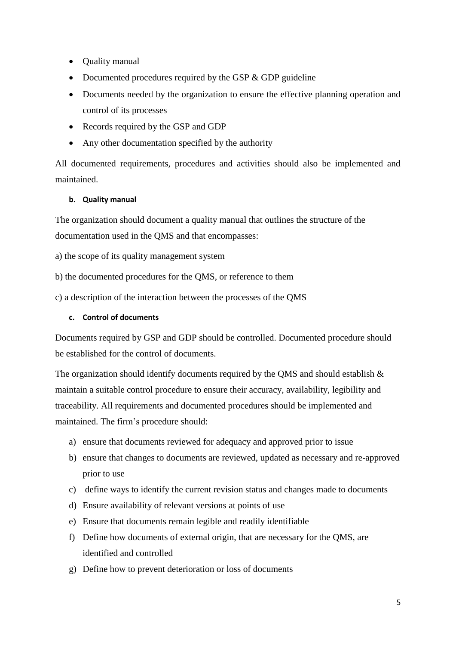- Quality manual
- Documented procedures required by the GSP & GDP guideline
- Documents needed by the organization to ensure the effective planning operation and control of its processes
- Records required by the GSP and GDP
- Any other documentation specified by the authority

All documented requirements, procedures and activities should also be implemented and maintained.

## **b. Quality manual**

The organization should document a quality manual that outlines the structure of the documentation used in the QMS and that encompasses:

a) the scope of its quality management system

b) the documented procedures for the QMS, or reference to them

c) a description of the interaction between the processes of the QMS

### **c. Control of documents**

Documents required by GSP and GDP should be controlled. Documented procedure should be established for the control of documents.

The organization should identify documents required by the OMS and should establish  $\&$ maintain a suitable control procedure to ensure their accuracy, availability, legibility and traceability. All requirements and documented procedures should be implemented and maintained. The firm's procedure should:

- a) ensure that documents reviewed for adequacy and approved prior to issue
- b) ensure that changes to documents are reviewed, updated as necessary and re-approved prior to use
- c) define ways to identify the current revision status and changes made to documents
- d) Ensure availability of relevant versions at points of use
- e) Ensure that documents remain legible and readily identifiable
- f) Define how documents of external origin, that are necessary for the QMS, are identified and controlled
- g) Define how to prevent deterioration or loss of documents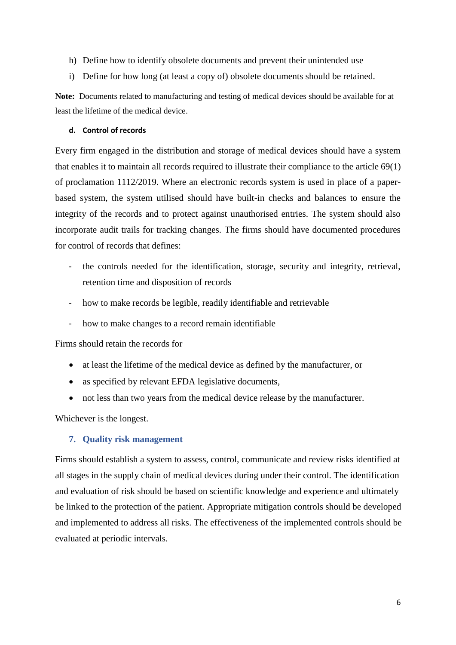- h) Define how to identify obsolete documents and prevent their unintended use
- i) Define for how long (at least a copy of) obsolete documents should be retained.

**Note:** Documents related to manufacturing and testing of medical devices should be available for at least the lifetime of the medical device.

#### **d. Control of records**

Every firm engaged in the distribution and storage of medical devices should have a system that enables it to maintain all records required to illustrate their compliance to the article 69(1) of proclamation 1112/2019. Where an electronic records system is used in place of a paperbased system, the system utilised should have built-in checks and balances to ensure the integrity of the records and to protect against unauthorised entries. The system should also incorporate audit trails for tracking changes. The firms should have documented procedures for control of records that defines:

- the controls needed for the identification, storage, security and integrity, retrieval, retention time and disposition of records
- how to make records be legible, readily identifiable and retrievable
- how to make changes to a record remain identifiable

Firms should retain the records for

- at least the lifetime of the medical device as defined by the manufacturer, or
- as specified by relevant EFDA legislative documents,
- not less than two years from the medical device release by the manufacturer.

Whichever is the longest.

#### <span id="page-9-0"></span>**7. Quality risk management**

Firms should establish a system to assess, control, communicate and review risks identified at all stages in the supply chain of medical devices during under their control. The identification and evaluation of risk should be based on scientific knowledge and experience and ultimately be linked to the protection of the patient. Appropriate mitigation controls should be developed and implemented to address all risks. The effectiveness of the implemented controls should be evaluated at periodic intervals.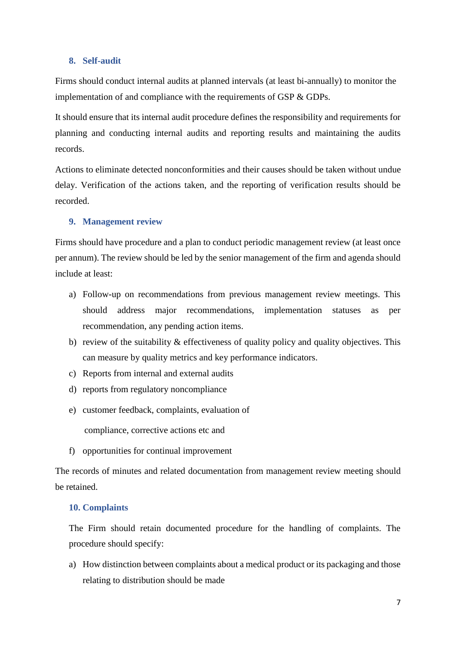#### <span id="page-10-0"></span>**8. Self-audit**

Firms should conduct internal audits at planned intervals (at least bi-annually) to monitor the implementation of and compliance with the requirements of GSP & GDPs.

It should ensure that its internal audit procedure defines the responsibility and requirements for planning and conducting internal audits and reporting results and maintaining the audits records.

Actions to eliminate detected nonconformities and their causes should be taken without undue delay. Verification of the actions taken, and the reporting of verification results should be recorded.

#### <span id="page-10-1"></span>**9. Management review**

Firms should have procedure and a plan to conduct periodic management review (at least once per annum). The review should be led by the senior management of the firm and agenda should include at least:

- a) Follow-up on recommendations from previous management review meetings. This should address major recommendations, implementation statuses as per recommendation, any pending action items.
- b) review of the suitability  $&$  effectiveness of quality policy and quality objectives. This can measure by quality metrics and key performance indicators.
- c) Reports from internal and external audits
- d) reports from regulatory noncompliance
- e) customer feedback, complaints, evaluation of

compliance, corrective actions etc and

f) opportunities for continual improvement

The records of minutes and related documentation from management review meeting should be retained.

#### <span id="page-10-2"></span>**10. Complaints**

The Firm should retain documented procedure for the handling of complaints. The procedure should specify:

a) How distinction between complaints about a medical product or its packaging and those relating to distribution should be made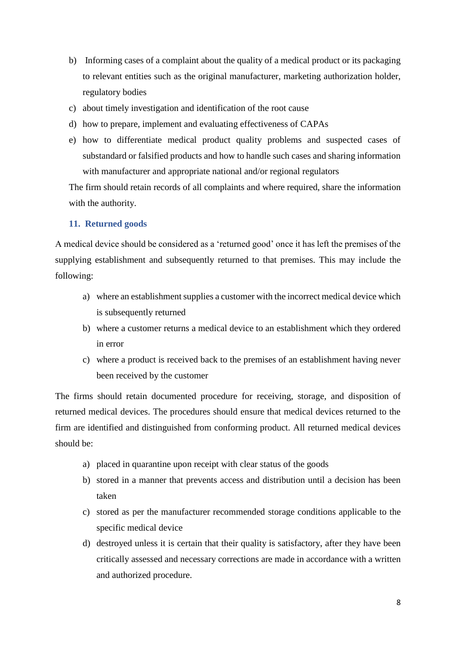- b) Informing cases of a complaint about the quality of a medical product or its packaging to relevant entities such as the original manufacturer, marketing authorization holder, regulatory bodies
- c) about timely investigation and identification of the root cause
- d) how to prepare, implement and evaluating effectiveness of CAPAs
- e) how to differentiate medical product quality problems and suspected cases of substandard or falsified products and how to handle such cases and sharing information with manufacturer and appropriate national and/or regional regulators

The firm should retain records of all complaints and where required, share the information with the authority.

#### <span id="page-11-0"></span>**11. Returned goods**

A medical device should be considered as a 'returned good' once it has left the premises of the supplying establishment and subsequently returned to that premises. This may include the following:

- a) where an establishment supplies a customer with the incorrect medical device which is subsequently returned
- b) where a customer returns a medical device to an establishment which they ordered in error
- c) where a product is received back to the premises of an establishment having never been received by the customer

The firms should retain documented procedure for receiving, storage, and disposition of returned medical devices. The procedures should ensure that medical devices returned to the firm are identified and distinguished from conforming product. All returned medical devices should be:

- a) placed in quarantine upon receipt with clear status of the goods
- b) stored in a manner that prevents access and distribution until a decision has been taken
- c) stored as per the manufacturer recommended storage conditions applicable to the specific medical device
- d) destroyed unless it is certain that their quality is satisfactory, after they have been critically assessed and necessary corrections are made in accordance with a written and authorized procedure.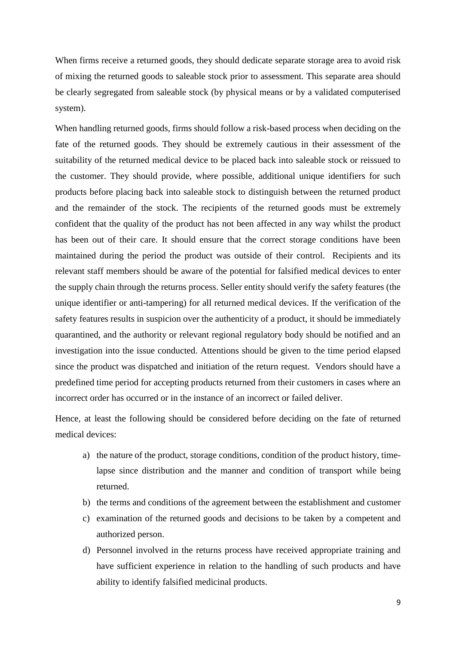When firms receive a returned goods, they should dedicate separate storage area to avoid risk of mixing the returned goods to saleable stock prior to assessment. This separate area should be clearly segregated from saleable stock (by physical means or by a validated computerised system).

When handling returned goods, firms should follow a risk-based process when deciding on the fate of the returned goods. They should be extremely cautious in their assessment of the suitability of the returned medical device to be placed back into saleable stock or reissued to the customer. They should provide, where possible, additional unique identifiers for such products before placing back into saleable stock to distinguish between the returned product and the remainder of the stock. The recipients of the returned goods must be extremely confident that the quality of the product has not been affected in any way whilst the product has been out of their care. It should ensure that the correct storage conditions have been maintained during the period the product was outside of their control. Recipients and its relevant staff members should be aware of the potential for falsified medical devices to enter the supply chain through the returns process. Seller entity should verify the safety features (the unique identifier or anti-tampering) for all returned medical devices. If the verification of the safety features results in suspicion over the authenticity of a product, it should be immediately quarantined, and the authority or relevant regional regulatory body should be notified and an investigation into the issue conducted. Attentions should be given to the time period elapsed since the product was dispatched and initiation of the return request. Vendors should have a predefined time period for accepting products returned from their customers in cases where an incorrect order has occurred or in the instance of an incorrect or failed deliver.

Hence, at least the following should be considered before deciding on the fate of returned medical devices:

- a) the nature of the product, storage conditions, condition of the product history, timelapse since distribution and the manner and condition of transport while being returned.
- b) the terms and conditions of the agreement between the establishment and customer
- c) examination of the returned goods and decisions to be taken by a competent and authorized person.
- d) Personnel involved in the returns process have received appropriate training and have sufficient experience in relation to the handling of such products and have ability to identify falsified medicinal products.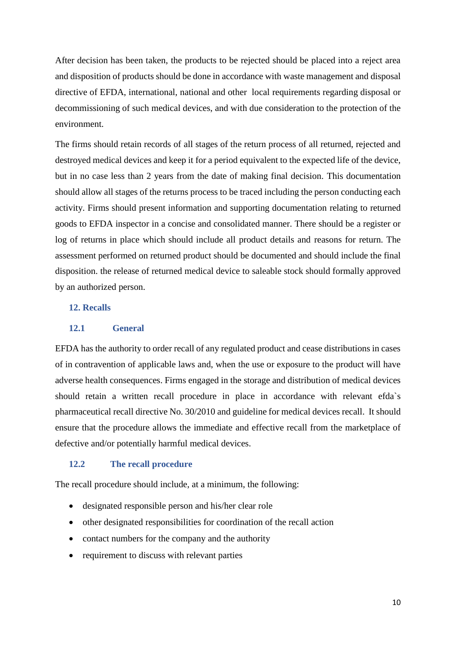After decision has been taken, the products to be rejected should be placed into a reject area and disposition of products should be done in accordance with waste management and disposal directive of EFDA, international, national and other local requirements regarding disposal or decommissioning of such medical devices, and with due consideration to the protection of the environment.

The firms should retain records of all stages of the return process of all returned, rejected and destroyed medical devices and keep it for a period equivalent to the expected life of the device, but in no case less than 2 years from the date of making final decision. This documentation should allow all stages of the returns process to be traced including the person conducting each activity. Firms should present information and supporting documentation relating to returned goods to EFDA inspector in a concise and consolidated manner. There should be a register or log of returns in place which should include all product details and reasons for return. The assessment performed on returned product should be documented and should include the final disposition. the release of returned medical device to saleable stock should formally approved by an authorized person.

#### <span id="page-13-0"></span>**12. Recalls**

#### <span id="page-13-1"></span>**12.1 General**

EFDA has the authority to order recall of any regulated product and cease distributions in cases of in contravention of applicable laws and, when the use or exposure to the product will have adverse health consequences. Firms engaged in the storage and distribution of medical devices should retain a written recall procedure in place in accordance with relevant efda`s pharmaceutical recall directive No. 30/2010 and guideline for medical devices recall. It should ensure that the procedure allows the immediate and effective recall from the marketplace of defective and/or potentially harmful medical devices.

#### <span id="page-13-2"></span>**12.2 The recall procedure**

The recall procedure should include, at a minimum, the following:

- designated responsible person and his/her clear role
- other designated responsibilities for coordination of the recall action
- contact numbers for the company and the authority
- requirement to discuss with relevant parties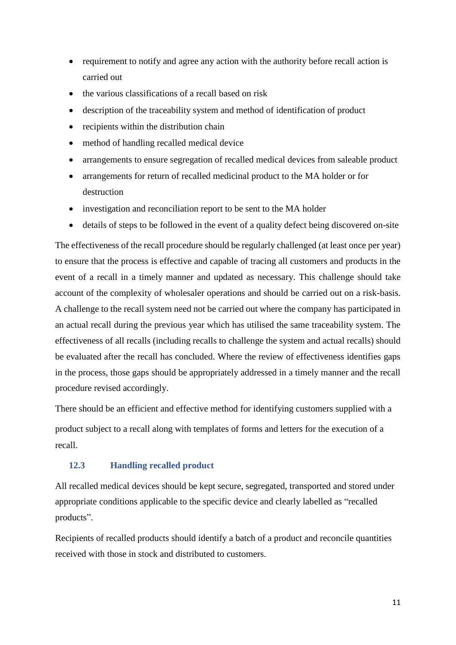- requirement to notify and agree any action with the authority before recall action is carried out
- the various classifications of a recall based on risk
- description of the traceability system and method of identification of product
- recipients within the distribution chain
- method of handling recalled medical device
- arrangements to ensure segregation of recalled medical devices from saleable product
- arrangements for return of recalled medicinal product to the MA holder or for destruction
- investigation and reconciliation report to be sent to the MA holder
- details of steps to be followed in the event of a quality defect being discovered on-site

The effectiveness of the recall procedure should be regularly challenged (at least once per year) to ensure that the process is effective and capable of tracing all customers and products in the event of a recall in a timely manner and updated as necessary. This challenge should take account of the complexity of wholesaler operations and should be carried out on a risk-basis. A challenge to the recall system need not be carried out where the company has participated in an actual recall during the previous year which has utilised the same traceability system. The effectiveness of all recalls (including recalls to challenge the system and actual recalls) should be evaluated after the recall has concluded. Where the review of effectiveness identifies gaps in the process, those gaps should be appropriately addressed in a timely manner and the recall procedure revised accordingly.

There should be an efficient and effective method for identifying customers supplied with a product subject to a recall along with templates of forms and letters for the execution of a recall.

## <span id="page-14-0"></span>**12.3 Handling recalled product**

All recalled medical devices should be kept secure, segregated, transported and stored under appropriate conditions applicable to the specific device and clearly labelled as "recalled products".

Recipients of recalled products should identify a batch of a product and reconcile quantities received with those in stock and distributed to customers.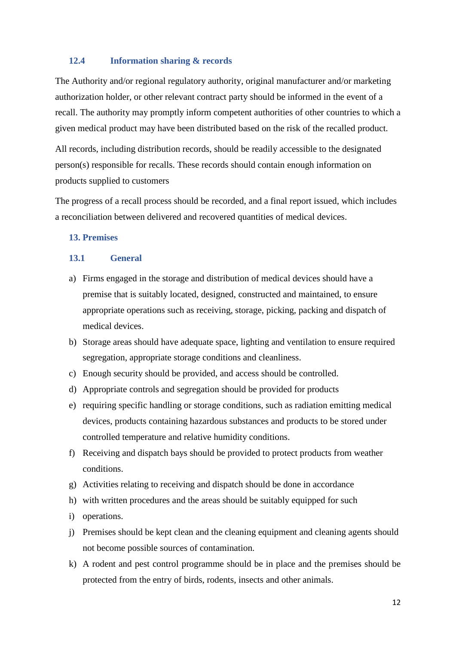#### <span id="page-15-0"></span>**12.4 Information sharing & records**

The Authority and/or regional regulatory authority, original manufacturer and/or marketing authorization holder, or other relevant contract party should be informed in the event of a recall. The authority may promptly inform competent authorities of other countries to which a given medical product may have been distributed based on the risk of the recalled product.

All records, including distribution records, should be readily accessible to the designated person(s) responsible for recalls. These records should contain enough information on products supplied to customers

The progress of a recall process should be recorded, and a final report issued, which includes a reconciliation between delivered and recovered quantities of medical devices.

#### <span id="page-15-1"></span>**13. Premises**

#### <span id="page-15-2"></span>**13.1 General**

- a) Firms engaged in the storage and distribution of medical devices should have a premise that is suitably located, designed, constructed and maintained, to ensure appropriate operations such as receiving, storage, picking, packing and dispatch of medical devices.
- b) Storage areas should have adequate space, lighting and ventilation to ensure required segregation, appropriate storage conditions and cleanliness.
- c) Enough security should be provided, and access should be controlled.
- d) Appropriate controls and segregation should be provided for products
- e) requiring specific handling or storage conditions, such as radiation emitting medical devices, products containing hazardous substances and products to be stored under controlled temperature and relative humidity conditions.
- f) Receiving and dispatch bays should be provided to protect products from weather conditions.
- g) Activities relating to receiving and dispatch should be done in accordance
- h) with written procedures and the areas should be suitably equipped for such
- i) operations.
- j) Premises should be kept clean and the cleaning equipment and cleaning agents should not become possible sources of contamination.
- k) A rodent and pest control programme should be in place and the premises should be protected from the entry of birds, rodents, insects and other animals.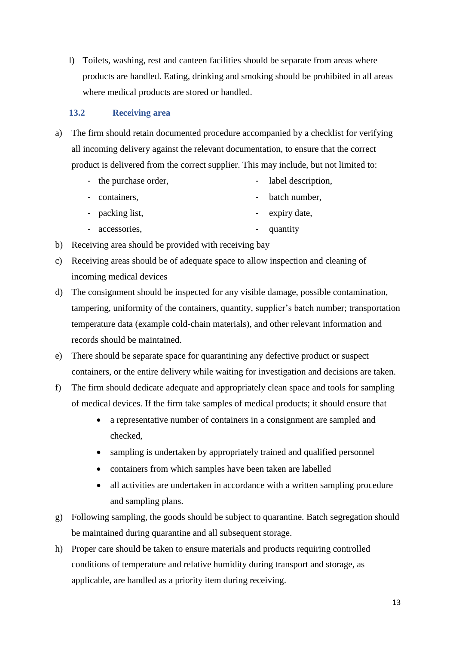l) Toilets, washing, rest and canteen facilities should be separate from areas where products are handled. Eating, drinking and smoking should be prohibited in all areas where medical products are stored or handled.

## <span id="page-16-0"></span>**13.2 Receiving area**

- a) The firm should retain documented procedure accompanied by a checklist for verifying all incoming delivery against the relevant documentation, to ensure that the correct product is delivered from the correct supplier. This may include, but not limited to:
	- the purchase order, label description,
	- containers, batch number,
	- packing list, - expiry date,
	- accessories, - quantity
- b) Receiving area should be provided with receiving bay
- c) Receiving areas should be of adequate space to allow inspection and cleaning of incoming medical devices
- d) The consignment should be inspected for any visible damage, possible contamination, tampering, uniformity of the containers, quantity, supplier's batch number; transportation temperature data (example cold-chain materials), and other relevant information and records should be maintained.
- e) There should be separate space for quarantining any defective product or suspect containers, or the entire delivery while waiting for investigation and decisions are taken.
- f) The firm should dedicate adequate and appropriately clean space and tools for sampling of medical devices. If the firm take samples of medical products; it should ensure that
	- a representative number of containers in a consignment are sampled and checked,
	- sampling is undertaken by appropriately trained and qualified personnel
	- containers from which samples have been taken are labelled
	- all activities are undertaken in accordance with a written sampling procedure and sampling plans.
- g) Following sampling, the goods should be subject to quarantine. Batch segregation should be maintained during quarantine and all subsequent storage.
- h) Proper care should be taken to ensure materials and products requiring controlled conditions of temperature and relative humidity during transport and storage, as applicable, are handled as a priority item during receiving.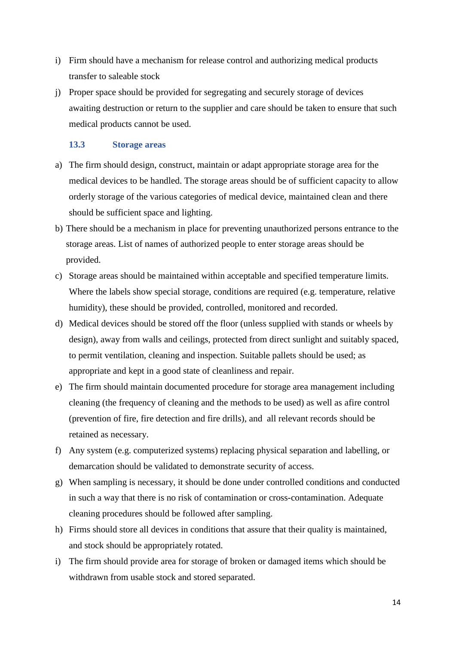- i) Firm should have a mechanism for release control and authorizing medical products transfer to saleable stock
- j) Proper space should be provided for segregating and securely storage of devices awaiting destruction or return to the supplier and care should be taken to ensure that such medical products cannot be used.

## <span id="page-17-0"></span>**13.3 Storage areas**

- a) The firm should design, construct, maintain or adapt appropriate storage area for the medical devices to be handled. The storage areas should be of sufficient capacity to allow orderly storage of the various categories of medical device, maintained clean and there should be sufficient space and lighting.
- b) There should be a mechanism in place for preventing unauthorized persons entrance to the storage areas. List of names of authorized people to enter storage areas should be provided.
- c) Storage areas should be maintained within acceptable and specified temperature limits. Where the labels show special storage, conditions are required (e.g. temperature, relative humidity), these should be provided, controlled, monitored and recorded.
- d) Medical devices should be stored off the floor (unless supplied with stands or wheels by design), away from walls and ceilings, protected from direct sunlight and suitably spaced, to permit ventilation, cleaning and inspection. Suitable pallets should be used; as appropriate and kept in a good state of cleanliness and repair.
- e) The firm should maintain documented procedure for storage area management including cleaning (the frequency of cleaning and the methods to be used) as well as afire control (prevention of fire, fire detection and fire drills), and all relevant records should be retained as necessary.
- f) Any system (e.g. computerized systems) replacing physical separation and labelling, or demarcation should be validated to demonstrate security of access.
- g) When sampling is necessary, it should be done under controlled conditions and conducted in such a way that there is no risk of contamination or cross-contamination. Adequate cleaning procedures should be followed after sampling.
- h) Firms should store all devices in conditions that assure that their quality is maintained, and stock should be appropriately rotated.
- i) The firm should provide area for storage of broken or damaged items which should be withdrawn from usable stock and stored separated.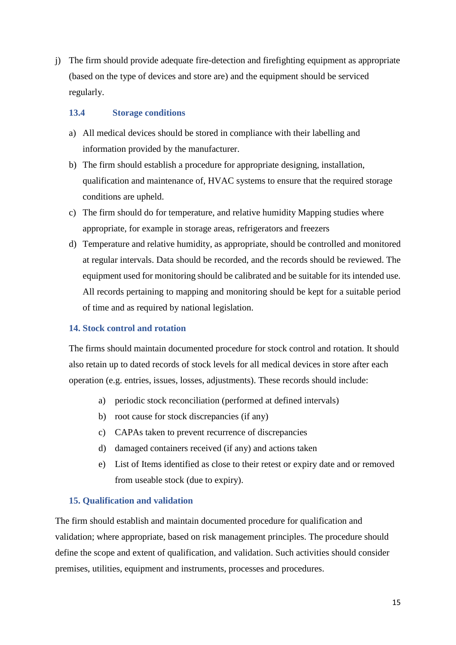j) The firm should provide adequate fire-detection and firefighting equipment as appropriate (based on the type of devices and store are) and the equipment should be serviced regularly.

## <span id="page-18-0"></span>**13.4 Storage conditions**

- a) All medical devices should be stored in compliance with their labelling and information provided by the manufacturer.
- b) The firm should establish a procedure for appropriate designing, installation, qualification and maintenance of, HVAC systems to ensure that the required storage conditions are upheld.
- c) The firm should do for temperature, and relative humidity Mapping studies where appropriate, for example in storage areas, refrigerators and freezers
- d) Temperature and relative humidity, as appropriate, should be controlled and monitored at regular intervals. Data should be recorded, and the records should be reviewed. The equipment used for monitoring should be calibrated and be suitable for its intended use. All records pertaining to mapping and monitoring should be kept for a suitable period of time and as required by national legislation.

## <span id="page-18-1"></span>**14. Stock control and rotation**

The firms should maintain documented procedure for stock control and rotation. It should also retain up to dated records of stock levels for all medical devices in store after each operation (e.g. entries, issues, losses, adjustments). These records should include:

- a) periodic stock reconciliation (performed at defined intervals)
- b) root cause for stock discrepancies (if any)
- c) CAPAs taken to prevent recurrence of discrepancies
- d) damaged containers received (if any) and actions taken
- e) List of Items identified as close to their retest or expiry date and or removed from useable stock (due to expiry).

## <span id="page-18-2"></span>**15. Qualification and validation**

The firm should establish and maintain documented procedure for qualification and validation; where appropriate, based on risk management principles. The procedure should define the scope and extent of qualification, and validation. Such activities should consider premises, utilities, equipment and instruments, processes and procedures.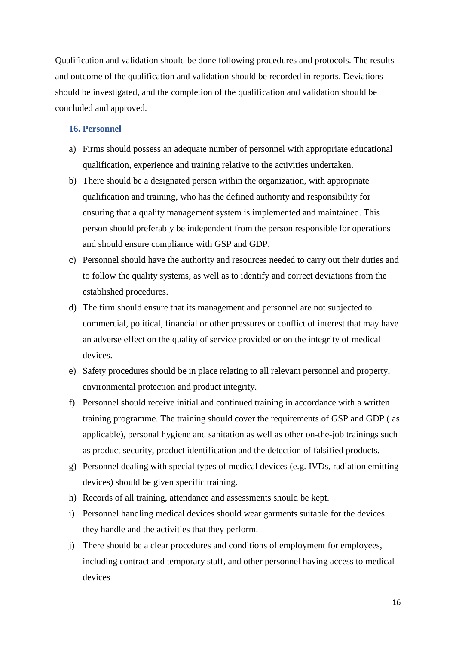Qualification and validation should be done following procedures and protocols. The results and outcome of the qualification and validation should be recorded in reports. Deviations should be investigated, and the completion of the qualification and validation should be concluded and approved.

#### <span id="page-19-0"></span>**16. Personnel**

- a) Firms should possess an adequate number of personnel with appropriate educational qualification, experience and training relative to the activities undertaken.
- b) There should be a designated person within the organization, with appropriate qualification and training, who has the defined authority and responsibility for ensuring that a quality management system is implemented and maintained. This person should preferably be independent from the person responsible for operations and should ensure compliance with GSP and GDP.
- c) Personnel should have the authority and resources needed to carry out their duties and to follow the quality systems, as well as to identify and correct deviations from the established procedures.
- d) The firm should ensure that its management and personnel are not subjected to commercial, political, financial or other pressures or conflict of interest that may have an adverse effect on the quality of service provided or on the integrity of medical devices.
- e) Safety procedures should be in place relating to all relevant personnel and property, environmental protection and product integrity.
- f) Personnel should receive initial and continued training in accordance with a written training programme. The training should cover the requirements of GSP and GDP ( as applicable), personal hygiene and sanitation as well as other on-the-job trainings such as product security, product identification and the detection of falsified products.
- g) Personnel dealing with special types of medical devices (e.g. IVDs, radiation emitting devices) should be given specific training.
- h) Records of all training, attendance and assessments should be kept.
- i) Personnel handling medical devices should wear garments suitable for the devices they handle and the activities that they perform.
- j) There should be a clear procedures and conditions of employment for employees, including contract and temporary staff, and other personnel having access to medical devices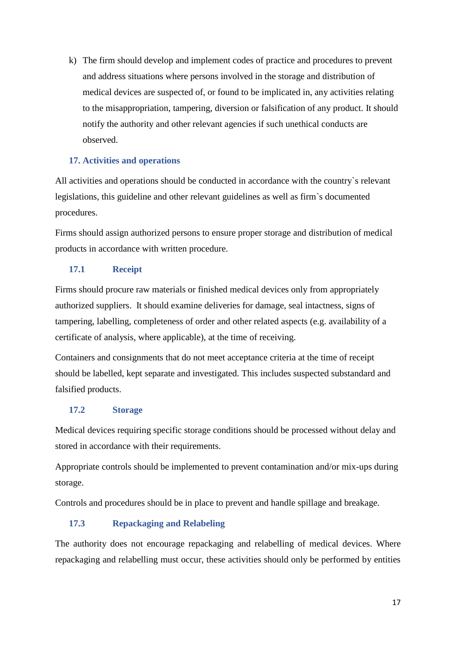k) The firm should develop and implement codes of practice and procedures to prevent and address situations where persons involved in the storage and distribution of medical devices are suspected of, or found to be implicated in, any activities relating to the misappropriation, tampering, diversion or falsification of any product. It should notify the authority and other relevant agencies if such unethical conducts are observed.

## <span id="page-20-0"></span>**17. Activities and operations**

All activities and operations should be conducted in accordance with the country`s relevant legislations, this guideline and other relevant guidelines as well as firm`s documented procedures.

Firms should assign authorized persons to ensure proper storage and distribution of medical products in accordance with written procedure.

## <span id="page-20-1"></span>**17.1 Receipt**

Firms should procure raw materials or finished medical devices only from appropriately authorized suppliers. It should examine deliveries for damage, seal intactness, signs of tampering, labelling, completeness of order and other related aspects (e.g. availability of a certificate of analysis, where applicable), at the time of receiving.

Containers and consignments that do not meet acceptance criteria at the time of receipt should be labelled, kept separate and investigated. This includes suspected substandard and falsified products.

## <span id="page-20-2"></span>**17.2 Storage**

Medical devices requiring specific storage conditions should be processed without delay and stored in accordance with their requirements.

Appropriate controls should be implemented to prevent contamination and/or mix-ups during storage.

Controls and procedures should be in place to prevent and handle spillage and breakage.

## <span id="page-20-3"></span>**17.3 Repackaging and Relabeling**

The authority does not encourage repackaging and relabelling of medical devices. Where repackaging and relabelling must occur, these activities should only be performed by entities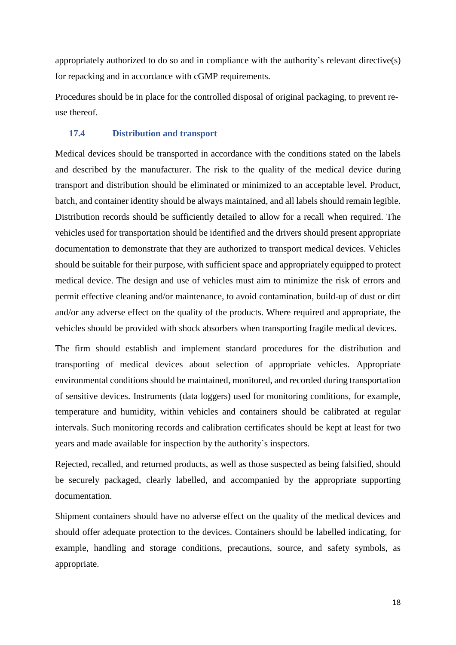appropriately authorized to do so and in compliance with the authority's relevant directive(s) for repacking and in accordance with cGMP requirements.

Procedures should be in place for the controlled disposal of original packaging, to prevent reuse thereof.

## <span id="page-21-0"></span>**17.4 Distribution and transport**

Medical devices should be transported in accordance with the conditions stated on the labels and described by the manufacturer. The risk to the quality of the medical device during transport and distribution should be eliminated or minimized to an acceptable level. Product, batch, and container identity should be always maintained, and all labels should remain legible. Distribution records should be sufficiently detailed to allow for a recall when required. The vehicles used for transportation should be identified and the drivers should present appropriate documentation to demonstrate that they are authorized to transport medical devices. Vehicles should be suitable for their purpose, with sufficient space and appropriately equipped to protect medical device. The design and use of vehicles must aim to minimize the risk of errors and permit effective cleaning and/or maintenance, to avoid contamination, build-up of dust or dirt and/or any adverse effect on the quality of the products. Where required and appropriate, the vehicles should be provided with shock absorbers when transporting fragile medical devices.

The firm should establish and implement standard procedures for the distribution and transporting of medical devices about selection of appropriate vehicles. Appropriate environmental conditions should be maintained, monitored, and recorded during transportation of sensitive devices. Instruments (data loggers) used for monitoring conditions, for example, temperature and humidity, within vehicles and containers should be calibrated at regular intervals. Such monitoring records and calibration certificates should be kept at least for two years and made available for inspection by the authority`s inspectors.

Rejected, recalled, and returned products, as well as those suspected as being falsified, should be securely packaged, clearly labelled, and accompanied by the appropriate supporting documentation.

Shipment containers should have no adverse effect on the quality of the medical devices and should offer adequate protection to the devices. Containers should be labelled indicating, for example, handling and storage conditions, precautions, source, and safety symbols, as appropriate.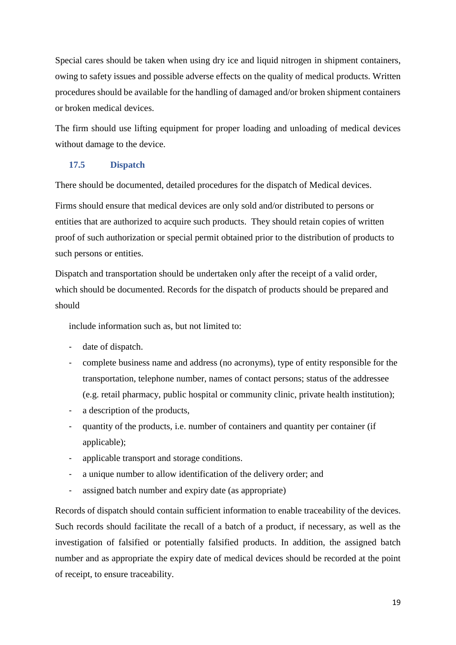Special cares should be taken when using dry ice and liquid nitrogen in shipment containers, owing to safety issues and possible adverse effects on the quality of medical products. Written procedures should be available for the handling of damaged and/or broken shipment containers or broken medical devices.

The firm should use lifting equipment for proper loading and unloading of medical devices without damage to the device.

## <span id="page-22-0"></span>**17.5 Dispatch**

There should be documented, detailed procedures for the dispatch of Medical devices.

Firms should ensure that medical devices are only sold and/or distributed to persons or entities that are authorized to acquire such products. They should retain copies of written proof of such authorization or special permit obtained prior to the distribution of products to such persons or entities.

Dispatch and transportation should be undertaken only after the receipt of a valid order, which should be documented. Records for the dispatch of products should be prepared and should

include information such as, but not limited to:

- date of dispatch.
- complete business name and address (no acronyms), type of entity responsible for the transportation, telephone number, names of contact persons; status of the addressee (e.g. retail pharmacy, public hospital or community clinic, private health institution);
- a description of the products,
- quantity of the products, i.e. number of containers and quantity per container (if applicable);
- applicable transport and storage conditions.
- a unique number to allow identification of the delivery order; and
- assigned batch number and expiry date (as appropriate)

Records of dispatch should contain sufficient information to enable traceability of the devices. Such records should facilitate the recall of a batch of a product, if necessary, as well as the investigation of falsified or potentially falsified products. In addition, the assigned batch number and as appropriate the expiry date of medical devices should be recorded at the point of receipt, to ensure traceability.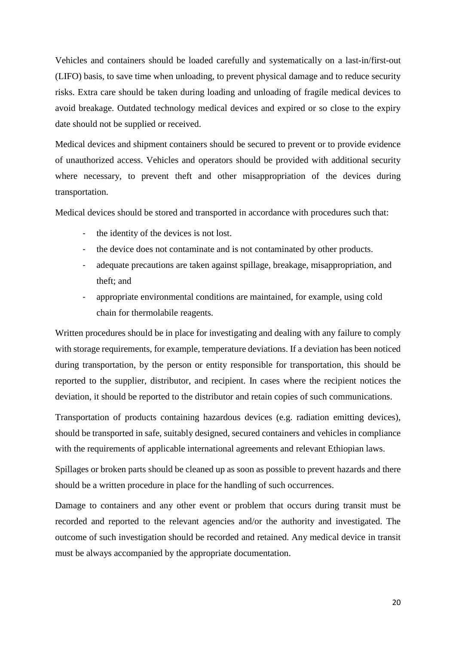Vehicles and containers should be loaded carefully and systematically on a last-in/first-out (LIFO) basis, to save time when unloading, to prevent physical damage and to reduce security risks. Extra care should be taken during loading and unloading of fragile medical devices to avoid breakage. Outdated technology medical devices and expired or so close to the expiry date should not be supplied or received.

Medical devices and shipment containers should be secured to prevent or to provide evidence of unauthorized access. Vehicles and operators should be provided with additional security where necessary, to prevent theft and other misappropriation of the devices during transportation.

Medical devices should be stored and transported in accordance with procedures such that:

- the identity of the devices is not lost.
- the device does not contaminate and is not contaminated by other products.
- adequate precautions are taken against spillage, breakage, misappropriation, and theft; and
- appropriate environmental conditions are maintained, for example, using cold chain for thermolabile reagents.

Written procedures should be in place for investigating and dealing with any failure to comply with storage requirements, for example, temperature deviations. If a deviation has been noticed during transportation, by the person or entity responsible for transportation, this should be reported to the supplier, distributor, and recipient. In cases where the recipient notices the deviation, it should be reported to the distributor and retain copies of such communications.

Transportation of products containing hazardous devices (e.g. radiation emitting devices), should be transported in safe, suitably designed, secured containers and vehicles in compliance with the requirements of applicable international agreements and relevant Ethiopian laws.

Spillages or broken parts should be cleaned up as soon as possible to prevent hazards and there should be a written procedure in place for the handling of such occurrences.

Damage to containers and any other event or problem that occurs during transit must be recorded and reported to the relevant agencies and/or the authority and investigated. The outcome of such investigation should be recorded and retained. Any medical device in transit must be always accompanied by the appropriate documentation.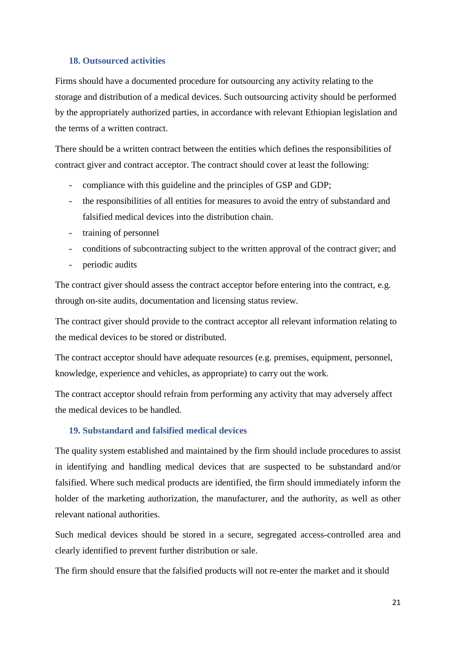#### <span id="page-24-0"></span>**18. Outsourced activities**

Firms should have a documented procedure for outsourcing any activity relating to the storage and distribution of a medical devices. Such outsourcing activity should be performed by the appropriately authorized parties, in accordance with relevant Ethiopian legislation and the terms of a written contract.

There should be a written contract between the entities which defines the responsibilities of contract giver and contract acceptor. The contract should cover at least the following:

- compliance with this guideline and the principles of GSP and GDP;
- the responsibilities of all entities for measures to avoid the entry of substandard and falsified medical devices into the distribution chain.
- training of personnel
- conditions of subcontracting subject to the written approval of the contract giver; and
- periodic audits

The contract giver should assess the contract acceptor before entering into the contract, e.g. through on-site audits, documentation and licensing status review.

The contract giver should provide to the contract acceptor all relevant information relating to the medical devices to be stored or distributed.

The contract acceptor should have adequate resources (e.g. premises, equipment, personnel, knowledge, experience and vehicles, as appropriate) to carry out the work.

The contract acceptor should refrain from performing any activity that may adversely affect the medical devices to be handled.

#### <span id="page-24-1"></span>**19. Substandard and falsified medical devices**

The quality system established and maintained by the firm should include procedures to assist in identifying and handling medical devices that are suspected to be substandard and/or falsified. Where such medical products are identified, the firm should immediately inform the holder of the marketing authorization, the manufacturer, and the authority, as well as other relevant national authorities.

Such medical devices should be stored in a secure, segregated access-controlled area and clearly identified to prevent further distribution or sale.

The firm should ensure that the falsified products will not re-enter the market and it should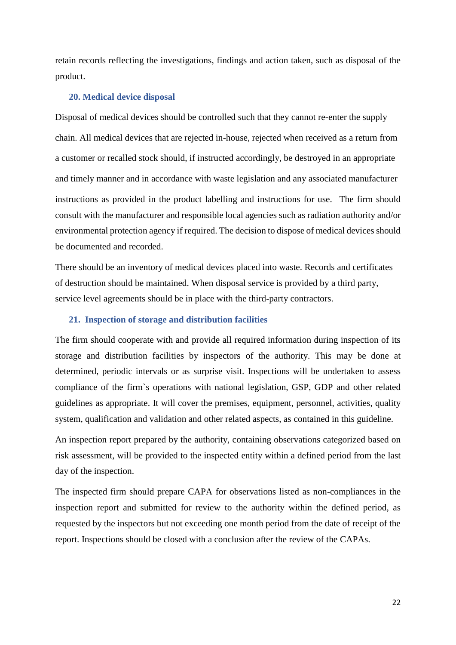retain records reflecting the investigations, findings and action taken, such as disposal of the product.

#### <span id="page-25-0"></span>**20. Medical device disposal**

Disposal of medical devices should be controlled such that they cannot re-enter the supply chain. All medical devices that are rejected in-house, rejected when received as a return from a customer or recalled stock should, if instructed accordingly, be destroyed in an appropriate and timely manner and in accordance with waste legislation and any associated manufacturer instructions as provided in the product labelling and instructions for use. The firm should consult with the manufacturer and responsible local agencies such as radiation authority and/or environmental protection agency if required. The decision to dispose of medical devices should be documented and recorded.

There should be an inventory of medical devices placed into waste. Records and certificates of destruction should be maintained. When disposal service is provided by a third party, service level agreements should be in place with the third-party contractors.

## <span id="page-25-1"></span>**21. Inspection of storage and distribution facilities**

The firm should cooperate with and provide all required information during inspection of its storage and distribution facilities by inspectors of the authority. This may be done at determined, periodic intervals or as surprise visit. Inspections will be undertaken to assess compliance of the firm`s operations with national legislation, GSP, GDP and other related guidelines as appropriate. It will cover the premises, equipment, personnel, activities, quality system, qualification and validation and other related aspects, as contained in this guideline.

An inspection report prepared by the authority, containing observations categorized based on risk assessment, will be provided to the inspected entity within a defined period from the last day of the inspection.

The inspected firm should prepare CAPA for observations listed as non-compliances in the inspection report and submitted for review to the authority within the defined period, as requested by the inspectors but not exceeding one month period from the date of receipt of the report. Inspections should be closed with a conclusion after the review of the CAPAs.